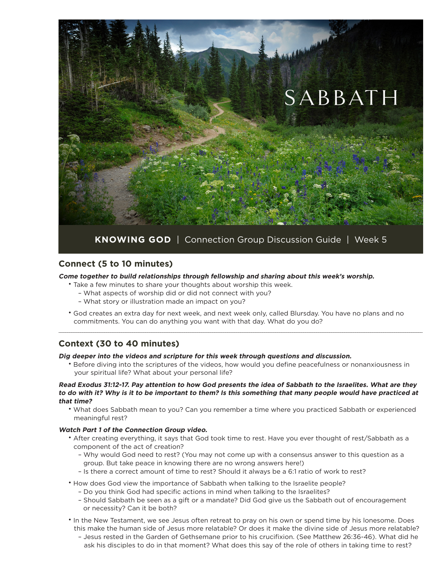

## **Connect (5 to 10 minutes)**

**Come together to build relationships through fellowship and sharing about this week's worship.**

- Take a few minutes to share your thoughts about worship this week.
	- What aspects of worship did or did not connect with you?
	- What story or illustration made an impact on you?
- God creates an extra day for next week, and next week only, called Blursday. You have no plans and no commitments. You can do anything you want with that day. What do you do?

 $\_$  , and the state of the state of the state of the state of the state of the state of the state of the state of the state of the state of the state of the state of the state of the state of the state of the state of the

# **Context (30 to 40 minutes)**

**Dig deeper into the videos and scripture for this week through questions and discussion.**

• Before diving into the scriptures of the videos, how would you define peacefulness or nonanxiousness in your spiritual life? What about your personal life?

### **Read Exodus 31:12-17. Pay attention to how God presents the idea of Sabbath to the Israelites. What are they to do with it? Why is it to be important to them? Is this something that many people would have practiced at that time?**

• What does Sabbath mean to you? Can you remember a time where you practiced Sabbath or experienced meaningful rest?

### **Watch Part 1 of the Connection Group video.**

- After creating everything, it says that God took time to rest. Have you ever thought of rest/Sabbath as a component of the act of creation?
	- Why would God need to rest? (You may not come up with a consensus answer to this question as a group. But take peace in knowing there are no wrong answers here!)
	- Is there a correct amount of time to rest? Should it always be a 6:1 ratio of work to rest?
- How does God view the importance of Sabbath when talking to the Israelite people?
	- Do you think God had specific actions in mind when talking to the Israelites?
	- Should Sabbath be seen as a gift or a mandate? Did God give us the Sabbath out of encouragement or necessity? Can it be both?
- In the New Testament, we see Jesus often retreat to pray on his own or spend time by his lonesome. Does this make the human side of Jesus more relatable? Or does it make the divine side of Jesus more relatable?
	- Jesus rested in the Garden of Gethsemane prior to his crucifixion. (See Matthew 26:36-46). What did he ask his disciples to do in that moment? What does this say of the role of others in taking time to rest?